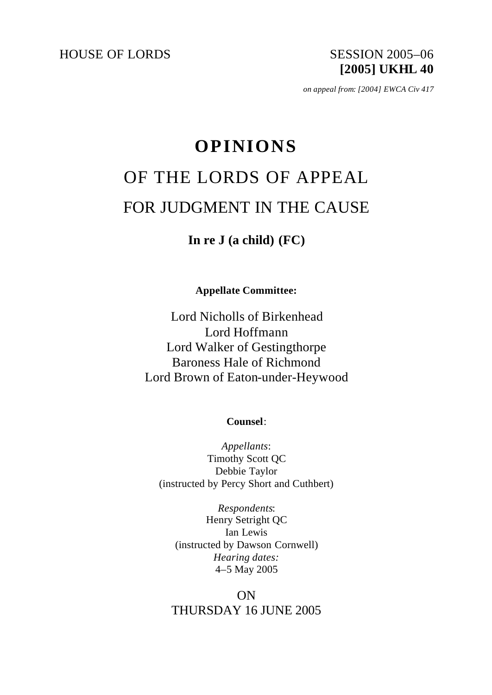HOUSE OF LORDS SESSION 2005-06

**[2005] UKHL 40**

*on appeal from: [2004] EWCA Civ 417* 

# **OPINIONS** OF THE LORDS OF APPEAL FOR JUDGMENT IN THE CAUSE

**In re J (a child) (FC)**

**Appellate Committee:**

Lord Nicholls of Birkenhead Lord Hoffmann Lord Walker of Gestingthorpe Baroness Hale of Richmond Lord Brown of Eaton-under-Heywood

**Counsel**:

*Appellants*: Timothy Scott QC Debbie Taylor (instructed by Percy Short and Cuthbert)

*Respondents*: Henry Setright QC Ian Lewis (instructed by Dawson Cornwell) *Hearing dates:* 4–5 May 2005

## ON THURSDAY 16 JUNE 2005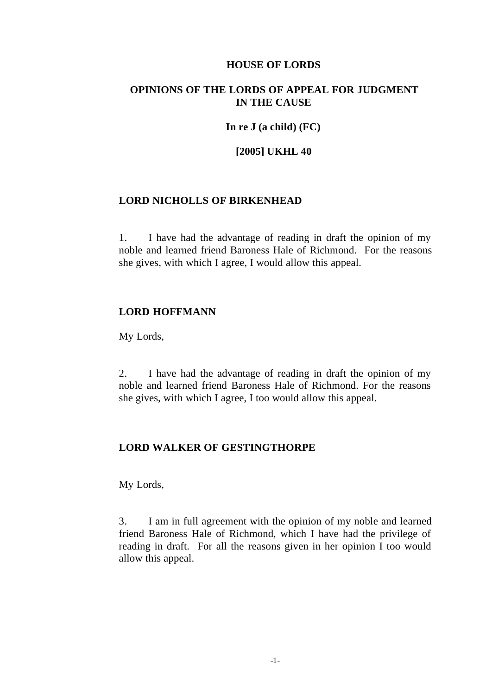#### **HOUSE OF LORDS**

## **OPINIONS OF THE LORDS OF APPEAL FOR JUDGMENT IN THE CAUSE**

## **In re J (a child) (FC)**

## **[2005] UKHL 40**

## **LORD NICHOLLS OF BIRKENHEAD**

1. I have had the advantage of reading in draft the opinion of my noble and learned friend Baroness Hale of Richmond. For the reasons she gives, with which I agree, I would allow this appeal.

## **LORD HOFFMANN**

My Lords,

2. I have had the advantage of reading in draft the opinion of my noble and learned friend Baroness Hale of Richmond. For the reasons she gives, with which I agree, I too would allow this appeal.

## **LORD WALKER OF GESTINGTHORPE**

My Lords,

3. I am in full agreement with the opinion of my noble and learned friend Baroness Hale of Richmond, which I have had the privilege of reading in draft. For all the reasons given in her opinion I too would allow this appeal.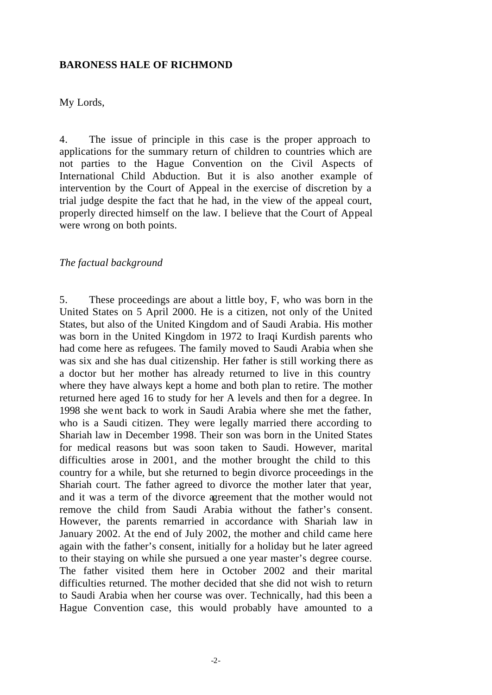#### **BARONESS HALE OF RICHMOND**

#### My Lords,

4. The issue of principle in this case is the proper approach to applications for the summary return of children to countries which are not parties to the Hague Convention on the Civil Aspects of International Child Abduction. But it is also another example of intervention by the Court of Appeal in the exercise of discretion by a trial judge despite the fact that he had, in the view of the appeal court, properly directed himself on the law. I believe that the Court of Appeal were wrong on both points.

#### *The factual background*

5. These proceedings are about a little boy, F, who was born in the United States on 5 April 2000. He is a citizen, not only of the United States, but also of the United Kingdom and of Saudi Arabia. His mother was born in the United Kingdom in 1972 to Iraqi Kurdish parents who had come here as refugees. The family moved to Saudi Arabia when she was six and she has dual citizenship. Her father is still working there as a doctor but her mother has already returned to live in this country where they have always kept a home and both plan to retire. The mother returned here aged 16 to study for her A levels and then for a degree. In 1998 she went back to work in Saudi Arabia where she met the father, who is a Saudi citizen. They were legally married there according to Shariah law in December 1998. Their son was born in the United States for medical reasons but was soon taken to Saudi. However, marital difficulties arose in 2001, and the mother brought the child to this country for a while, but she returned to begin divorce proceedings in the Shariah court. The father agreed to divorce the mother later that year, and it was a term of the divorce agreement that the mother would not remove the child from Saudi Arabia without the father's consent. However, the parents remarried in accordance with Shariah law in January 2002. At the end of July 2002, the mother and child came here again with the father's consent, initially for a holiday but he later agreed to their staying on while she pursued a one year master's degree course. The father visited them here in October 2002 and their marital difficulties returned. The mother decided that she did not wish to return to Saudi Arabia when her course was over. Technically, had this been a Hague Convention case, this would probably have amounted to a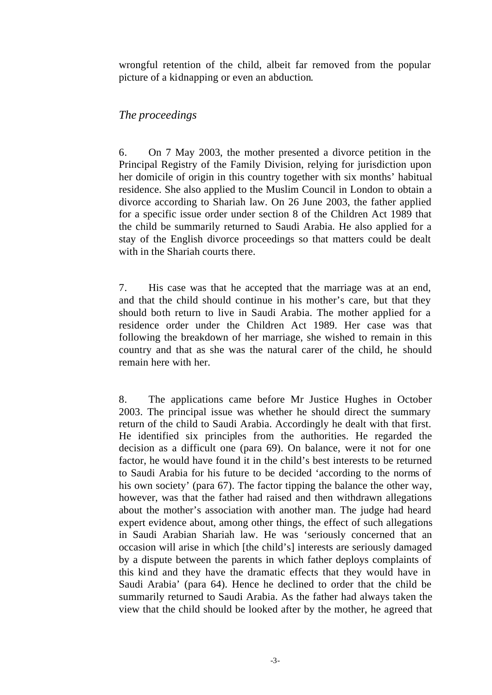wrongful retention of the child, albeit far removed from the popular picture of a kidnapping or even an abduction.

## *The proceedings*

6. On 7 May 2003, the mother presented a divorce petition in the Principal Registry of the Family Division, relying for jurisdiction upon her domicile of origin in this country together with six months' habitual residence. She also applied to the Muslim Council in London to obtain a divorce according to Shariah law. On 26 June 2003, the father applied for a specific issue order under section 8 of the Children Act 1989 that the child be summarily returned to Saudi Arabia. He also applied for a stay of the English divorce proceedings so that matters could be dealt with in the Shariah courts there.

7. His case was that he accepted that the marriage was at an end, and that the child should continue in his mother's care, but that they should both return to live in Saudi Arabia. The mother applied for a residence order under the Children Act 1989. Her case was that following the breakdown of her marriage, she wished to remain in this country and that as she was the natural carer of the child, he should remain here with her.

8. The applications came before Mr Justice Hughes in October 2003. The principal issue was whether he should direct the summary return of the child to Saudi Arabia. Accordingly he dealt with that first. He identified six principles from the authorities. He regarded the decision as a difficult one (para 69). On balance, were it not for one factor, he would have found it in the child's best interests to be returned to Saudi Arabia for his future to be decided 'according to the norms of his own society' (para 67). The factor tipping the balance the other way, however, was that the father had raised and then withdrawn allegations about the mother's association with another man. The judge had heard expert evidence about, among other things, the effect of such allegations in Saudi Arabian Shariah law. He was 'seriously concerned that an occasion will arise in which [the child's] interests are seriously damaged by a dispute between the parents in which father deploys complaints of this kind and they have the dramatic effects that they would have in Saudi Arabia' (para 64). Hence he declined to order that the child be summarily returned to Saudi Arabia. As the father had always taken the view that the child should be looked after by the mother, he agreed that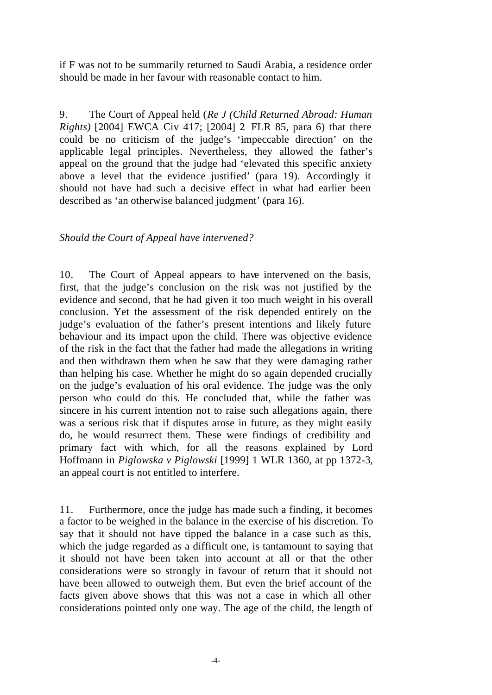if F was not to be summarily returned to Saudi Arabia, a residence order should be made in her favour with reasonable contact to him.

9. The Court of Appeal held (*Re J (Child Returned Abroad: Human Rights)* [2004] EWCA Civ 417; [2004] 2 FLR 85, para 6) that there could be no criticism of the judge's 'impeccable direction' on the applicable legal principles. Nevertheless, they allowed the father's appeal on the ground that the judge had 'elevated this specific anxiety above a level that the evidence justified' (para 19). Accordingly it should not have had such a decisive effect in what had earlier been described as 'an otherwise balanced judgment' (para 16).

## *Should the Court of Appeal have intervened?*

10. The Court of Appeal appears to have intervened on the basis, first, that the judge's conclusion on the risk was not justified by the evidence and second, that he had given it too much weight in his overall conclusion. Yet the assessment of the risk depended entirely on the judge's evaluation of the father's present intentions and likely future behaviour and its impact upon the child. There was objective evidence of the risk in the fact that the father had made the allegations in writing and then withdrawn them when he saw that they were damaging rather than helping his case. Whether he might do so again depended crucially on the judge's evaluation of his oral evidence. The judge was the only person who could do this. He concluded that, while the father was sincere in his current intention not to raise such allegations again, there was a serious risk that if disputes arose in future, as they might easily do, he would resurrect them. These were findings of credibility and primary fact with which, for all the reasons explained by Lord Hoffmann in *Piglowska v Piglowski* [1999] 1 WLR 1360, at pp 1372-3, an appeal court is not entitled to interfere.

11. Furthermore, once the judge has made such a finding, it becomes a factor to be weighed in the balance in the exercise of his discretion. To say that it should not have tipped the balance in a case such as this, which the judge regarded as a difficult one, is tantamount to saying that it should not have been taken into account at all or that the other considerations were so strongly in favour of return that it should not have been allowed to outweigh them. But even the brief account of the facts given above shows that this was not a case in which all other considerations pointed only one way. The age of the child, the length of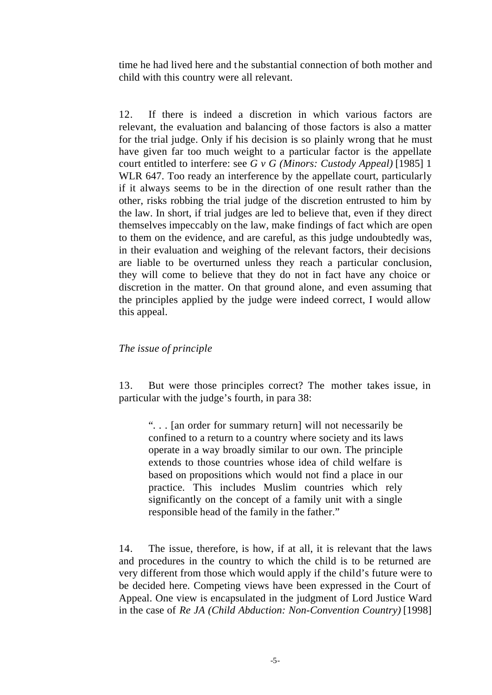time he had lived here and the substantial connection of both mother and child with this country were all relevant.

12. If there is indeed a discretion in which various factors are relevant, the evaluation and balancing of those factors is also a matter for the trial judge. Only if his decision is so plainly wrong that he must have given far too much weight to a particular factor is the appellate court entitled to interfere: see *G v G (Minors: Custody Appeal)* [1985] 1 WLR 647. Too ready an interference by the appellate court, particularly if it always seems to be in the direction of one result rather than the other, risks robbing the trial judge of the discretion entrusted to him by the law. In short, if trial judges are led to believe that, even if they direct themselves impeccably on the law, make findings of fact which are open to them on the evidence, and are careful, as this judge undoubtedly was, in their evaluation and weighing of the relevant factors, their decisions are liable to be overturned unless they reach a particular conclusion, they will come to believe that they do not in fact have any choice or discretion in the matter. On that ground alone, and even assuming that the principles applied by the judge were indeed correct, I would allow this appeal.

## *The issue of principle*

13. But were those principles correct? The mother takes issue, in particular with the judge's fourth, in para 38:

". . . [an order for summary return] will not necessarily be confined to a return to a country where society and its laws operate in a way broadly similar to our own. The principle extends to those countries whose idea of child welfare is based on propositions which would not find a place in our practice. This includes Muslim countries which rely significantly on the concept of a family unit with a single responsible head of the family in the father."

14. The issue, therefore, is how, if at all, it is relevant that the laws and procedures in the country to which the child is to be returned are very different from those which would apply if the child's future were to be decided here. Competing views have been expressed in the Court of Appeal. One view is encapsulated in the judgment of Lord Justice Ward in the case of *Re JA (Child Abduction: Non-Convention Country)* [1998]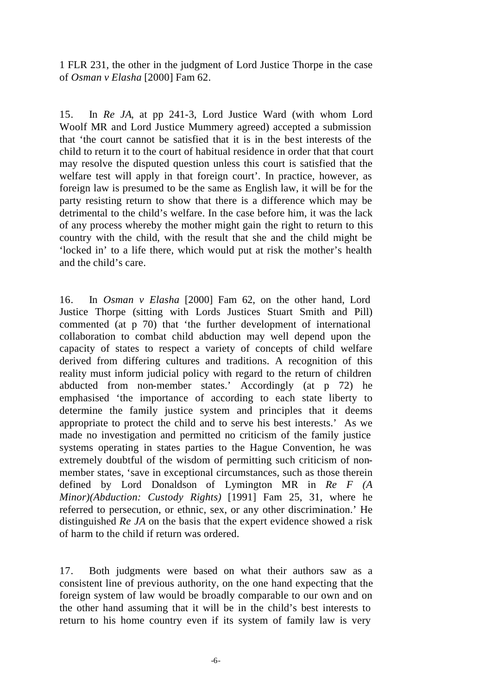1 FLR 231, the other in the judgment of Lord Justice Thorpe in the case of *Osman v Elasha* [2000] Fam 62.

15. In *Re JA*, at pp 241-3, Lord Justice Ward (with whom Lord Woolf MR and Lord Justice Mummery agreed) accepted a submission that 'the court cannot be satisfied that it is in the best interests of the child to return it to the court of habitual residence in order that that court may resolve the disputed question unless this court is satisfied that the welfare test will apply in that foreign court'. In practice, however, as foreign law is presumed to be the same as English law, it will be for the party resisting return to show that there is a difference which may be detrimental to the child's welfare. In the case before him, it was the lack of any process whereby the mother might gain the right to return to this country with the child, with the result that she and the child might be 'locked in' to a life there, which would put at risk the mother's health and the child's care.

16. In *Osman v Elasha* [2000] Fam 62, on the other hand, Lord Justice Thorpe (sitting with Lords Justices Stuart Smith and Pill) commented (at p 70) that 'the further development of international collaboration to combat child abduction may well depend upon the capacity of states to respect a variety of concepts of child welfare derived from differing cultures and traditions. A recognition of this reality must inform judicial policy with regard to the return of children abducted from non-member states.' Accordingly (at p 72) he emphasised 'the importance of according to each state liberty to determine the family justice system and principles that it deems appropriate to protect the child and to serve his best interests.' As we made no investigation and permitted no criticism of the family justice systems operating in states parties to the Hague Convention, he was extremely doubtful of the wisdom of permitting such criticism of nonmember states, 'save in exceptional circumstances, such as those therein defined by Lord Donaldson of Lymington MR in *Re F (A Minor)(Abduction: Custody Rights)* [1991] Fam 25, 31, where he referred to persecution, or ethnic, sex, or any other discrimination.' He distinguished *Re JA* on the basis that the expert evidence showed a risk of harm to the child if return was ordered.

17. Both judgments were based on what their authors saw as a consistent line of previous authority, on the one hand expecting that the foreign system of law would be broadly comparable to our own and on the other hand assuming that it will be in the child's best interests to return to his home country even if its system of family law is very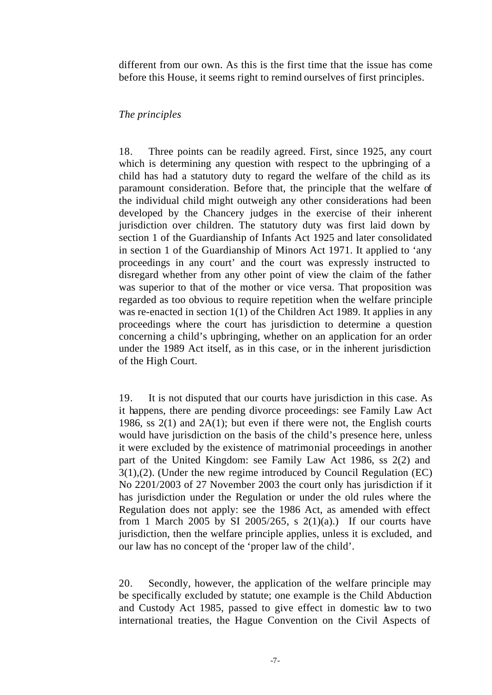different from our own. As this is the first time that the issue has come before this House, it seems right to remind ourselves of first principles.

#### *The principles*

18. Three points can be readily agreed. First, since 1925, any court which is determining any question with respect to the upbringing of a child has had a statutory duty to regard the welfare of the child as its paramount consideration. Before that, the principle that the welfare of the individual child might outweigh any other considerations had been developed by the Chancery judges in the exercise of their inherent jurisdiction over children. The statutory duty was first laid down by section 1 of the Guardianship of Infants Act 1925 and later consolidated in section 1 of the Guardianship of Minors Act 1971. It applied to 'any proceedings in any court' and the court was expressly instructed to disregard whether from any other point of view the claim of the father was superior to that of the mother or vice versa. That proposition was regarded as too obvious to require repetition when the welfare principle was re-enacted in section 1(1) of the Children Act 1989. It applies in any proceedings where the court has jurisdiction to determine a question concerning a child's upbringing, whether on an application for an order under the 1989 Act itself, as in this case, or in the inherent jurisdiction of the High Court.

19. It is not disputed that our courts have jurisdiction in this case. As it happens, there are pending divorce proceedings: see Family Law Act 1986, ss  $2(1)$  and  $2A(1)$ ; but even if there were not, the English courts would have jurisdiction on the basis of the child's presence here, unless it were excluded by the existence of matrimonial proceedings in another part of the United Kingdom: see Family Law Act 1986, ss 2(2) and 3(1),(2). (Under the new regime introduced by Council Regulation (EC) No 2201/2003 of 27 November 2003 the court only has jurisdiction if it has jurisdiction under the Regulation or under the old rules where the Regulation does not apply: see the 1986 Act, as amended with effect from 1 March 2005 by SI 2005/265, s  $2(1)(a)$ .) If our courts have jurisdiction, then the welfare principle applies, unless it is excluded, and our law has no concept of the 'proper law of the child'.

20. Secondly, however, the application of the welfare principle may be specifically excluded by statute; one example is the Child Abduction and Custody Act 1985, passed to give effect in domestic law to two international treaties, the Hague Convention on the Civil Aspects of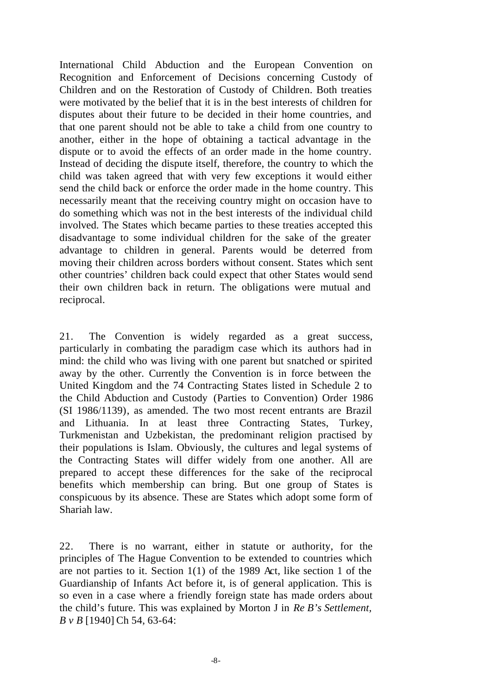International Child Abduction and the European Convention on Recognition and Enforcement of Decisions concerning Custody of Children and on the Restoration of Custody of Children. Both treaties were motivated by the belief that it is in the best interests of children for disputes about their future to be decided in their home countries, and that one parent should not be able to take a child from one country to another, either in the hope of obtaining a tactical advantage in the dispute or to avoid the effects of an order made in the home country. Instead of deciding the dispute itself, therefore, the country to which the child was taken agreed that with very few exceptions it would either send the child back or enforce the order made in the home country. This necessarily meant that the receiving country might on occasion have to do something which was not in the best interests of the individual child involved. The States which became parties to these treaties accepted this disadvantage to some individual children for the sake of the greater advantage to children in general. Parents would be deterred from moving their children across borders without consent. States which sent other countries' children back could expect that other States would send their own children back in return. The obligations were mutual and reciprocal.

21. The Convention is widely regarded as a great success, particularly in combating the paradigm case which its authors had in mind: the child who was living with one parent but snatched or spirited away by the other. Currently the Convention is in force between the United Kingdom and the 74 Contracting States listed in Schedule 2 to the Child Abduction and Custody (Parties to Convention) Order 1986 (SI 1986/1139), as amended. The two most recent entrants are Brazil and Lithuania. In at least three Contracting States, Turkey, Turkmenistan and Uzbekistan, the predominant religion practised by their populations is Islam. Obviously, the cultures and legal systems of the Contracting States will differ widely from one another. All are prepared to accept these differences for the sake of the reciprocal benefits which membership can bring. But one group of States is conspicuous by its absence. These are States which adopt some form of Shariah law.

22. There is no warrant, either in statute or authority, for the principles of The Hague Convention to be extended to countries which are not parties to it. Section 1(1) of the 1989 Act, like section 1 of the Guardianship of Infants Act before it, is of general application. This is so even in a case where a friendly foreign state has made orders about the child's future. This was explained by Morton J in *Re B's Settlement, B v B* [1940] Ch 54, 63-64: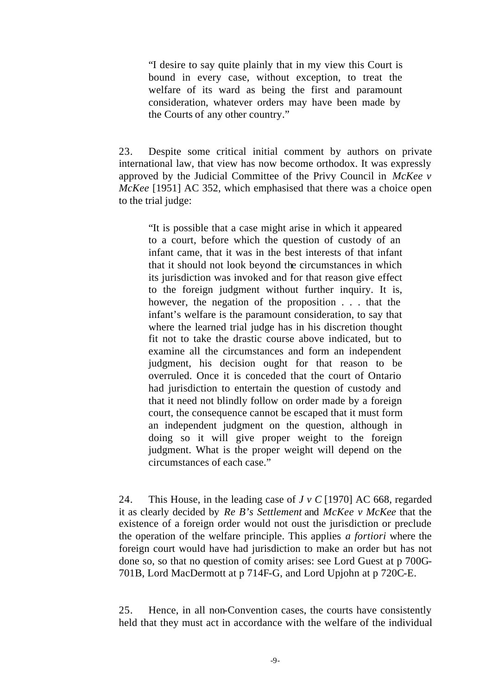"I desire to say quite plainly that in my view this Court is bound in every case, without exception, to treat the welfare of its ward as being the first and paramount consideration, whatever orders may have been made by the Courts of any other country."

23. Despite some critical initial comment by authors on private international law, that view has now become orthodox. It was expressly approved by the Judicial Committee of the Privy Council in *McKee v McKee* [1951] AC 352, which emphasised that there was a choice open to the trial judge:

"It is possible that a case might arise in which it appeared to a court, before which the question of custody of an infant came, that it was in the best interests of that infant that it should not look beyond the circumstances in which its jurisdiction was invoked and for that reason give effect to the foreign judgment without further inquiry. It is, however, the negation of the proposition . . . that the infant's welfare is the paramount consideration, to say that where the learned trial judge has in his discretion thought fit not to take the drastic course above indicated, but to examine all the circumstances and form an independent judgment, his decision ought for that reason to be overruled. Once it is conceded that the court of Ontario had jurisdiction to entertain the question of custody and that it need not blindly follow on order made by a foreign court, the consequence cannot be escaped that it must form an independent judgment on the question, although in doing so it will give proper weight to the foreign judgment. What is the proper weight will depend on the circumstances of each case."

24. This House, in the leading case of *J v C* [1970] AC 668, regarded it as clearly decided by *Re B's Settlement* and *McKee v McKee* that the existence of a foreign order would not oust the jurisdiction or preclude the operation of the welfare principle. This applies *a fortiori* where the foreign court would have had jurisdiction to make an order but has not done so, so that no question of comity arises: see Lord Guest at p 700G-701B, Lord MacDermott at p 714F-G, and Lord Upjohn at p 720C-E.

25. Hence, in all non-Convention cases, the courts have consistently held that they must act in accordance with the welfare of the individual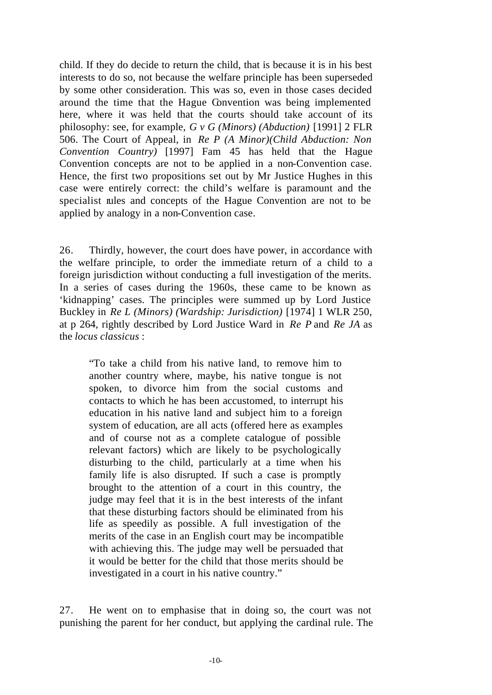child. If they do decide to return the child, that is because it is in his best interests to do so, not because the welfare principle has been superseded by some other consideration. This was so, even in those cases decided around the time that the Hague Convention was being implemented here, where it was held that the courts should take account of its philosophy: see, for example, *G v G (Minors) (Abduction)* [1991] 2 FLR 506. The Court of Appeal, in *Re P (A Minor)(Child Abduction: Non Convention Country)* [1997] Fam 45 has held that the Hague Convention concepts are not to be applied in a non-Convention case. Hence, the first two propositions set out by Mr Justice Hughes in this case were entirely correct: the child's welfare is paramount and the specialist rules and concepts of the Hague Convention are not to be applied by analogy in a non-Convention case.

26. Thirdly, however, the court does have power, in accordance with the welfare principle, to order the immediate return of a child to a foreign jurisdiction without conducting a full investigation of the merits. In a series of cases during the 1960s, these came to be known as 'kidnapping' cases. The principles were summed up by Lord Justice Buckley in *Re L (Minors) (Wardship: Jurisdiction)* [1974] 1 WLR 250, at p 264, rightly described by Lord Justice Ward in *Re P* and *Re JA* as the *locus classicus* :

"To take a child from his native land, to remove him to another country where, maybe, his native tongue is not spoken, to divorce him from the social customs and contacts to which he has been accustomed, to interrupt his education in his native land and subject him to a foreign system of education, are all acts (offered here as examples and of course not as a complete catalogue of possible relevant factors) which are likely to be psychologically disturbing to the child, particularly at a time when his family life is also disrupted. If such a case is promptly brought to the attention of a court in this country, the judge may feel that it is in the best interests of the infant that these disturbing factors should be eliminated from his life as speedily as possible. A full investigation of the merits of the case in an English court may be incompatible with achieving this. The judge may well be persuaded that it would be better for the child that those merits should be investigated in a court in his native country."

27. He went on to emphasise that in doing so, the court was not punishing the parent for her conduct, but applying the cardinal rule. The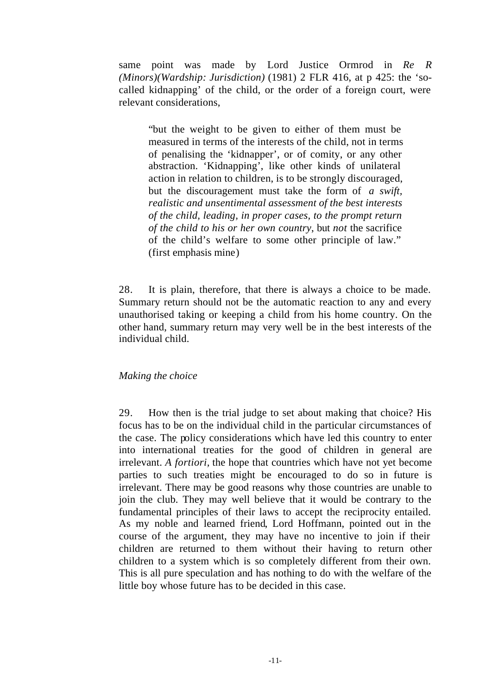same point was made by Lord Justice Ormrod in *Re R (Minors)(Wardship: Jurisdiction)* (1981) 2 FLR 416, at p 425: the 'socalled kidnapping' of the child, or the order of a foreign court, were relevant considerations,

"but the weight to be given to either of them must be measured in terms of the interests of the child, not in terms of penalising the 'kidnapper', or of comity, or any other abstraction. 'Kidnapping', like other kinds of unilateral action in relation to children, is to be strongly discouraged, but the discouragement must take the form of *a swift, realistic and unsentimental assessment of the best interests of the child, leading, in proper cases, to the prompt return of the child to his or her own country*, but *not* the sacrifice of the child's welfare to some other principle of law." (first emphasis mine)

28. It is plain, therefore, that there is always a choice to be made. Summary return should not be the automatic reaction to any and every unauthorised taking or keeping a child from his home country. On the other hand, summary return may very well be in the best interests of the individual child.

## *Making the choice*

29. How then is the trial judge to set about making that choice? His focus has to be on the individual child in the particular circumstances of the case. The policy considerations which have led this country to enter into international treaties for the good of children in general are irrelevant. *A fortiori,* the hope that countries which have not yet become parties to such treaties might be encouraged to do so in future is irrelevant. There may be good reasons why those countries are unable to join the club. They may well believe that it would be contrary to the fundamental principles of their laws to accept the reciprocity entailed. As my noble and learned friend, Lord Hoffmann, pointed out in the course of the argument, they may have no incentive to join if their children are returned to them without their having to return other children to a system which is so completely different from their own. This is all pure speculation and has nothing to do with the welfare of the little boy whose future has to be decided in this case.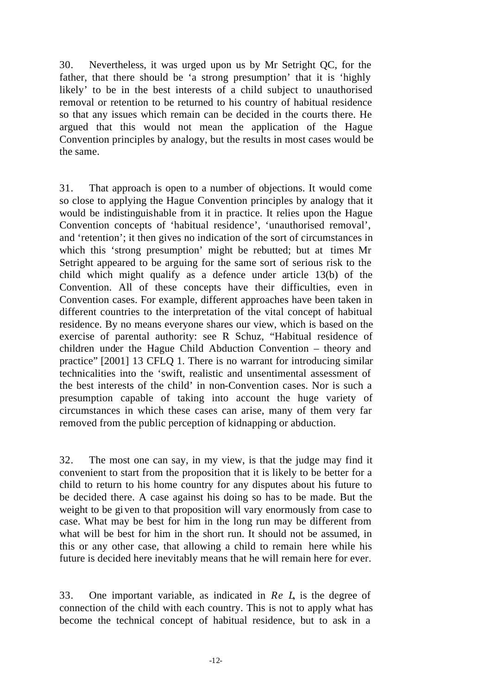30. Nevertheless, it was urged upon us by Mr Setright QC, for the father, that there should be 'a strong presumption' that it is 'highly likely' to be in the best interests of a child subject to unauthorised removal or retention to be returned to his country of habitual residence so that any issues which remain can be decided in the courts there. He argued that this would not mean the application of the Hague Convention principles by analogy, but the results in most cases would be the same.

31. That approach is open to a number of objections. It would come so close to applying the Hague Convention principles by analogy that it would be indistinguishable from it in practice. It relies upon the Hague Convention concepts of 'habitual residence', 'unauthorised removal', and 'retention'; it then gives no indication of the sort of circumstances in which this 'strong presumption' might be rebutted; but at times Mr Setright appeared to be arguing for the same sort of serious risk to the child which might qualify as a defence under article 13(b) of the Convention. All of these concepts have their difficulties, even in Convention cases. For example, different approaches have been taken in different countries to the interpretation of the vital concept of habitual residence. By no means everyone shares our view, which is based on the exercise of parental authority: see R Schuz, "Habitual residence of children under the Hague Child Abduction Convention – theory and practice" [2001] 13 CFLQ 1. There is no warrant for introducing similar technicalities into the 'swift, realistic and unsentimental assessment of the best interests of the child' in non-Convention cases. Nor is such a presumption capable of taking into account the huge variety of circumstances in which these cases can arise, many of them very far removed from the public perception of kidnapping or abduction.

32. The most one can say, in my view, is that the judge may find it convenient to start from the proposition that it is likely to be better for a child to return to his home country for any disputes about his future to be decided there. A case against his doing so has to be made. But the weight to be given to that proposition will vary enormously from case to case. What may be best for him in the long run may be different from what will be best for him in the short run. It should not be assumed, in this or any other case, that allowing a child to remain here while his future is decided here inevitably means that he will remain here for ever.

33. One important variable, as indicated in *Re L*, is the degree of connection of the child with each country. This is not to apply what has become the technical concept of habitual residence, but to ask in a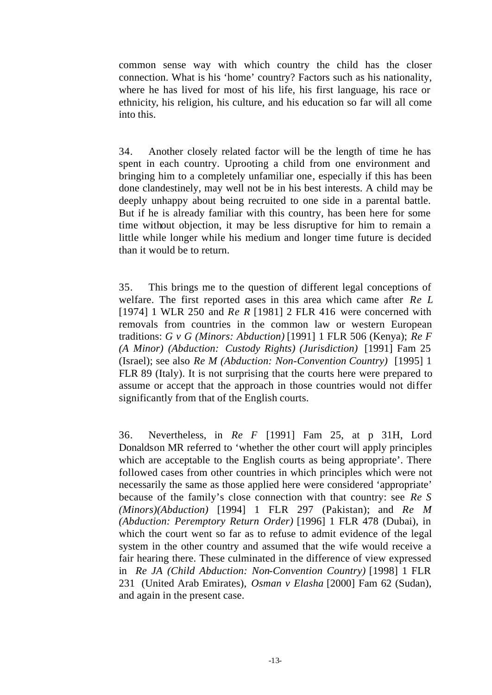common sense way with which country the child has the closer connection. What is his 'home' country? Factors such as his nationality, where he has lived for most of his life, his first language, his race or ethnicity, his religion, his culture, and his education so far will all come into this.

34. Another closely related factor will be the length of time he has spent in each country. Uprooting a child from one environment and bringing him to a completely unfamiliar one, especially if this has been done clandestinely, may well not be in his best interests. A child may be deeply unhappy about being recruited to one side in a parental battle. But if he is already familiar with this country, has been here for some time without objection, it may be less disruptive for him to remain a little while longer while his medium and longer time future is decided than it would be to return.

35. This brings me to the question of different legal conceptions of welfare. The first reported cases in this area which came after *Re L* [1974] 1 WLR 250 and *Re R* [1981] 2 FLR 416 were concerned with removals from countries in the common law or western European traditions: *G v G (Minors: Abduction)* [1991] 1 FLR 506 (Kenya); *Re F (A Minor) (Abduction: Custody Rights) (Jurisdiction)* [1991] Fam 25 (Israel); see also *Re M (Abduction: Non-Convention Country)* [1995] 1 FLR 89 (Italy). It is not surprising that the courts here were prepared to assume or accept that the approach in those countries would not differ significantly from that of the English courts.

36. Nevertheless, in *Re F* [1991] Fam 25, at p 31H, Lord Donaldson MR referred to 'whether the other court will apply principles which are acceptable to the English courts as being appropriate'. There followed cases from other countries in which principles which were not necessarily the same as those applied here were considered 'appropriate' because of the family's close connection with that country: see *Re S (Minors)(Abduction)* [1994] 1 FLR 297 (Pakistan); and *Re M (Abduction: Peremptory Return Order)* [1996] 1 FLR 478 (Dubai), in which the court went so far as to refuse to admit evidence of the legal system in the other country and assumed that the wife would receive a fair hearing there. These culminated in the difference of view expressed in *Re JA (Child Abduction: Non-Convention Country)* [1998] 1 FLR 231 (United Arab Emirates), *Osman v Elasha* [2000] Fam 62 (Sudan), and again in the present case.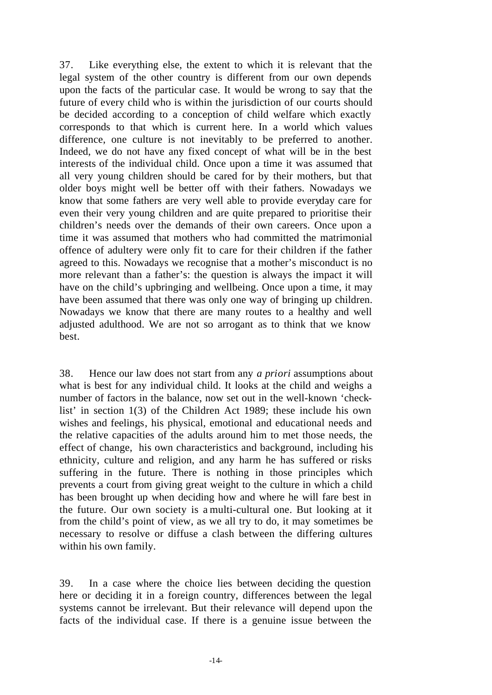37. Like everything else, the extent to which it is relevant that the legal system of the other country is different from our own depends upon the facts of the particular case. It would be wrong to say that the future of every child who is within the jurisdiction of our courts should be decided according to a conception of child welfare which exactly corresponds to that which is current here. In a world which values difference, one culture is not inevitably to be preferred to another. Indeed, we do not have any fixed concept of what will be in the best interests of the individual child. Once upon a time it was assumed that all very young children should be cared for by their mothers, but that older boys might well be better off with their fathers. Nowadays we know that some fathers are very well able to provide everyday care for even their very young children and are quite prepared to prioritise their children's needs over the demands of their own careers. Once upon a time it was assumed that mothers who had committed the matrimonial offence of adultery were only fit to care for their children if the father agreed to this. Nowadays we recognise that a mother's misconduct is no more relevant than a father's: the question is always the impact it will have on the child's upbringing and wellbeing. Once upon a time, it may have been assumed that there was only one way of bringing up children. Nowadays we know that there are many routes to a healthy and well adjusted adulthood. We are not so arrogant as to think that we know best.

38. Hence our law does not start from any *a priori* assumptions about what is best for any individual child. It looks at the child and weighs a number of factors in the balance, now set out in the well-known 'checklist' in section 1(3) of the Children Act 1989; these include his own wishes and feelings, his physical, emotional and educational needs and the relative capacities of the adults around him to met those needs, the effect of change, his own characteristics and background, including his ethnicity, culture and religion, and any harm he has suffered or risks suffering in the future. There is nothing in those principles which prevents a court from giving great weight to the culture in which a child has been brought up when deciding how and where he will fare best in the future. Our own society is a multi-cultural one. But looking at it from the child's point of view, as we all try to do, it may sometimes be necessary to resolve or diffuse a clash between the differing cultures within his own family.

39. In a case where the choice lies between deciding the question here or deciding it in a foreign country, differences between the legal systems cannot be irrelevant. But their relevance will depend upon the facts of the individual case. If there is a genuine issue between the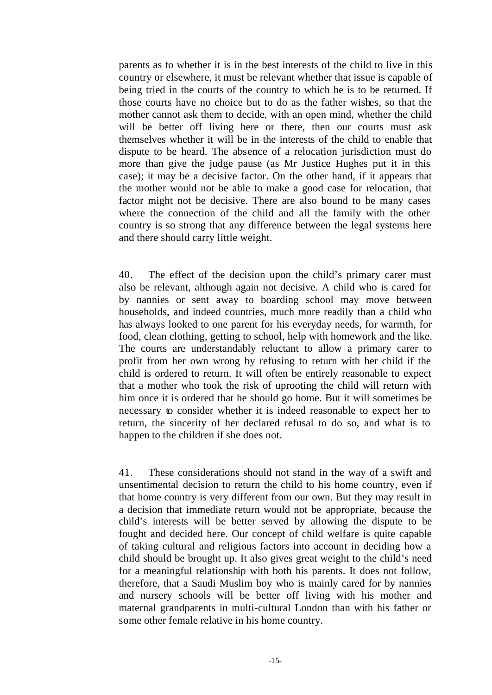parents as to whether it is in the best interests of the child to live in this country or elsewhere, it must be relevant whether that issue is capable of being tried in the courts of the country to which he is to be returned. If those courts have no choice but to do as the father wishes, so that the mother cannot ask them to decide, with an open mind, whether the child will be better off living here or there, then our courts must ask themselves whether it will be in the interests of the child to enable that dispute to be heard. The absence of a relocation jurisdiction must do more than give the judge pause (as Mr Justice Hughes put it in this case); it may be a decisive factor. On the other hand, if it appears that the mother would not be able to make a good case for relocation, that factor might not be decisive. There are also bound to be many cases where the connection of the child and all the family with the other country is so strong that any difference between the legal systems here and there should carry little weight.

40. The effect of the decision upon the child's primary carer must also be relevant, although again not decisive. A child who is cared for by nannies or sent away to boarding school may move between households, and indeed countries, much more readily than a child who has always looked to one parent for his everyday needs, for warmth, for food, clean clothing, getting to school, help with homework and the like. The courts are understandably reluctant to allow a primary carer to profit from her own wrong by refusing to return with her child if the child is ordered to return. It will often be entirely reasonable to expect that a mother who took the risk of uprooting the child will return with him once it is ordered that he should go home. But it will sometimes be necessary to consider whether it is indeed reasonable to expect her to return, the sincerity of her declared refusal to do so, and what is to happen to the children if she does not.

41. These considerations should not stand in the way of a swift and unsentimental decision to return the child to his home country, even if that home country is very different from our own. But they may result in a decision that immediate return would not be appropriate, because the child's interests will be better served by allowing the dispute to be fought and decided here. Our concept of child welfare is quite capable of taking cultural and religious factors into account in deciding how a child should be brought up. It also gives great weight to the child's need for a meaningful relationship with both his parents. It does not follow, therefore, that a Saudi Muslim boy who is mainly cared for by nannies and nursery schools will be better off living with his mother and maternal grandparents in multi-cultural London than with his father or some other female relative in his home country.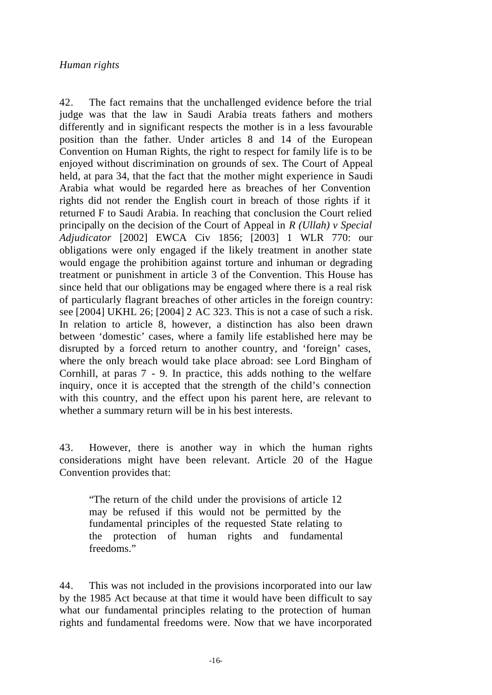## *Human rights*

42. The fact remains that the unchallenged evidence before the trial judge was that the law in Saudi Arabia treats fathers and mothers differently and in significant respects the mother is in a less favourable position than the father. Under articles 8 and 14 of the European Convention on Human Rights, the right to respect for family life is to be enjoyed without discrimination on grounds of sex. The Court of Appeal held, at para 34, that the fact that the mother might experience in Saudi Arabia what would be regarded here as breaches of her Convention rights did not render the English court in breach of those rights if it returned F to Saudi Arabia. In reaching that conclusion the Court relied principally on the decision of the Court of Appeal in *R (Ullah) v Special Adjudicator* [2002] EWCA Civ 1856; [2003] 1 WLR 770: our obligations were only engaged if the likely treatment in another state would engage the prohibition against torture and inhuman or degrading treatment or punishment in article 3 of the Convention. This House has since held that our obligations may be engaged where there is a real risk of particularly flagrant breaches of other articles in the foreign country: see [2004] UKHL 26; [2004] 2 AC 323. This is not a case of such a risk. In relation to article 8, however, a distinction has also been drawn between 'domestic' cases, where a family life established here may be disrupted by a forced return to another country, and 'foreign' cases, where the only breach would take place abroad: see Lord Bingham of Cornhill, at paras 7 - 9. In practice, this adds nothing to the welfare inquiry, once it is accepted that the strength of the child's connection with this country, and the effect upon his parent here, are relevant to whether a summary return will be in his best interests.

43. However, there is another way in which the human rights considerations might have been relevant. Article 20 of the Hague Convention provides that:

"The return of the child under the provisions of article 12 may be refused if this would not be permitted by the fundamental principles of the requested State relating to the protection of human rights and fundamental freedoms."

44. This was not included in the provisions incorporated into our law by the 1985 Act because at that time it would have been difficult to say what our fundamental principles relating to the protection of human rights and fundamental freedoms were. Now that we have incorporated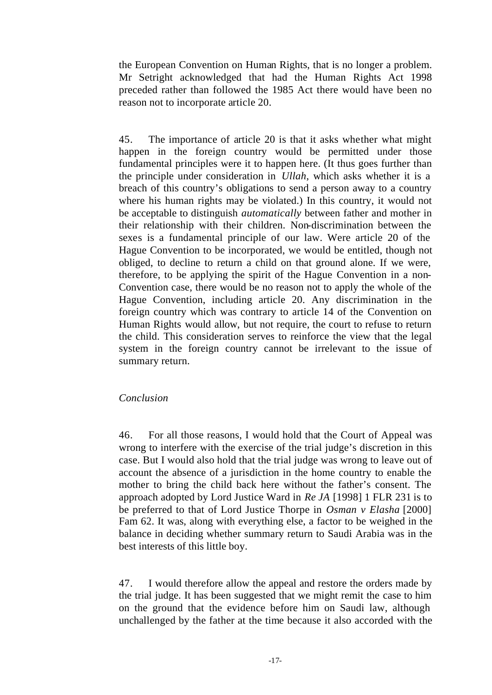the European Convention on Human Rights, that is no longer a problem. Mr Setright acknowledged that had the Human Rights Act 1998 preceded rather than followed the 1985 Act there would have been no reason not to incorporate article 20.

45. The importance of article 20 is that it asks whether what might happen in the foreign country would be permitted under those fundamental principles were it to happen here. (It thus goes further than the principle under consideration in *Ullah*, which asks whether it is a breach of this country's obligations to send a person away to a country where his human rights may be violated.) In this country, it would not be acceptable to distinguish *automatically* between father and mother in their relationship with their children. Non-discrimination between the sexes is a fundamental principle of our law. Were article 20 of the Hague Convention to be incorporated, we would be entitled, though not obliged, to decline to return a child on that ground alone. If we were, therefore, to be applying the spirit of the Hague Convention in a non-Convention case, there would be no reason not to apply the whole of the Hague Convention, including article 20. Any discrimination in the foreign country which was contrary to article 14 of the Convention on Human Rights would allow, but not require, the court to refuse to return the child. This consideration serves to reinforce the view that the legal system in the foreign country cannot be irrelevant to the issue of summary return.

## *Conclusion*

46. For all those reasons, I would hold that the Court of Appeal was wrong to interfere with the exercise of the trial judge's discretion in this case. But I would also hold that the trial judge was wrong to leave out of account the absence of a jurisdiction in the home country to enable the mother to bring the child back here without the father's consent. The approach adopted by Lord Justice Ward in *Re JA* [1998] 1 FLR 231 is to be preferred to that of Lord Justice Thorpe in *Osman v Elasha* [2000] Fam 62. It was, along with everything else, a factor to be weighed in the balance in deciding whether summary return to Saudi Arabia was in the best interests of this little boy.

47. I would therefore allow the appeal and restore the orders made by the trial judge. It has been suggested that we might remit the case to him on the ground that the evidence before him on Saudi law, although unchallenged by the father at the time because it also accorded with the